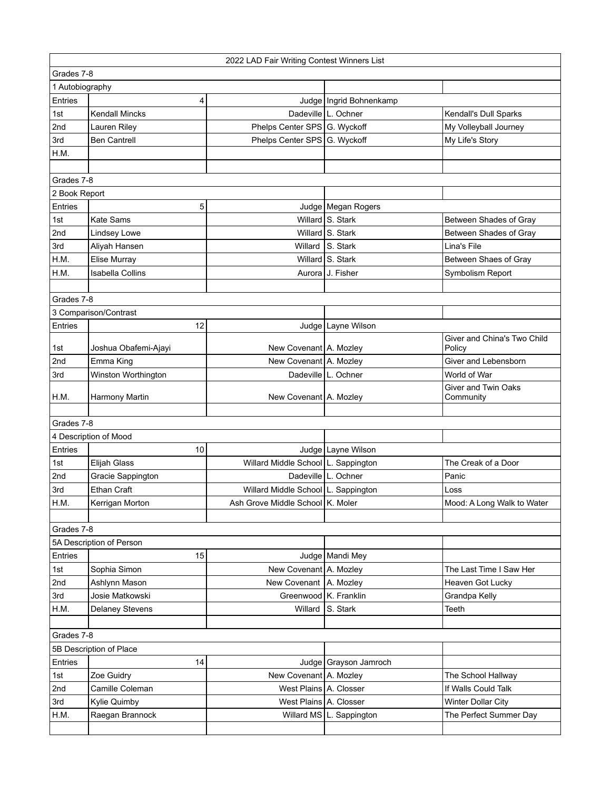|                                        | 2022 LAD Fair Writing Contest Winners List |                                       |                            |                                       |  |  |
|----------------------------------------|--------------------------------------------|---------------------------------------|----------------------------|---------------------------------------|--|--|
| Grades 7-8                             |                                            |                                       |                            |                                       |  |  |
| 1 Autobiography                        |                                            |                                       |                            |                                       |  |  |
| Entries                                | 4                                          |                                       | Judge   Ingrid Bohnenkamp  |                                       |  |  |
| 1st                                    | <b>Kendall Mincks</b>                      |                                       | Dadeville   L. Ochner      | Kendall's Dull Sparks                 |  |  |
| 2nd                                    | Lauren Riley                               | Phelps Center SPS G. Wyckoff          |                            | My Volleyball Journey                 |  |  |
| 3rd                                    | <b>Ben Cantrell</b>                        | Phelps Center SPS G. Wyckoff          |                            | My Life's Story                       |  |  |
| H.M.                                   |                                            |                                       |                            |                                       |  |  |
|                                        |                                            |                                       |                            |                                       |  |  |
| Grades 7-8                             |                                            |                                       |                            |                                       |  |  |
| 2 Book Report                          |                                            |                                       |                            |                                       |  |  |
| Entries                                | 5                                          |                                       | Judge   Megan Rogers       |                                       |  |  |
| 1st                                    | Kate Sams                                  |                                       | Willard S. Stark           | Between Shades of Gray                |  |  |
| 2nd                                    | Lindsey Lowe                               |                                       | Willard S. Stark           | Between Shades of Gray                |  |  |
| 3rd                                    | Aliyah Hansen                              | Willard                               | S. Stark                   | Lina's File                           |  |  |
| H.M.                                   | Elise Murray                               |                                       | Willard S. Stark           | Between Shaes of Gray                 |  |  |
| H.M.                                   | Isabella Collins                           |                                       | Aurora J. Fisher           | Symbolism Report                      |  |  |
|                                        |                                            |                                       |                            |                                       |  |  |
| Grades 7-8                             |                                            |                                       |                            |                                       |  |  |
|                                        | 3 Comparison/Contrast                      |                                       |                            |                                       |  |  |
| Entries                                | 12                                         |                                       | Judge   Layne Wilson       |                                       |  |  |
| 1st                                    | Joshua Obafemi-Ajayi                       | New Covenant   A. Mozley              |                            | Giver and China's Two Child<br>Policy |  |  |
| 2nd                                    | Emma King                                  | New Covenant A. Mozley                |                            | Giver and Lebensborn                  |  |  |
| 3rd                                    | Winston Worthington                        |                                       | Dadeville   L. Ochner      | World of War                          |  |  |
|                                        |                                            |                                       |                            | Giver and Twin Oaks                   |  |  |
| H.M.                                   | Harmony Martin                             | New Covenant   A. Mozley              |                            | Community                             |  |  |
|                                        |                                            |                                       |                            |                                       |  |  |
| Grades 7-8                             |                                            |                                       |                            |                                       |  |  |
|                                        | 4 Description of Mood                      |                                       |                            |                                       |  |  |
| Entries                                | 10                                         |                                       | Judge   Layne Wilson       |                                       |  |  |
| 1st                                    | <b>Elijah Glass</b>                        | Willard Middle School   L. Sappington |                            | The Creak of a Door                   |  |  |
| 2nd<br>3rd                             | Gracie Sappington                          | Willard Middle School L. Sappington   | Dadeville   L. Ochner      | Panic                                 |  |  |
| H.M.                                   | <b>Ethan Craft</b>                         | Ash Grove Middle School K. Moler      |                            | Loss<br>Mood: A Long Walk to Water    |  |  |
|                                        | Kerrigan Morton                            |                                       |                            |                                       |  |  |
| Grades 7-8                             |                                            |                                       |                            |                                       |  |  |
|                                        | 5A Description of Person                   |                                       |                            |                                       |  |  |
| Entries                                | 15                                         |                                       | Judge   Mandi Mey          |                                       |  |  |
| 1st                                    | Sophia Simon                               | New Covenant A. Mozley                |                            | The Last Time I Saw Her               |  |  |
| 2nd                                    | Ashlynn Mason                              | New Covenant   A. Mozley              |                            | Heaven Got Lucky                      |  |  |
| 3rd                                    | Josie Matkowski                            | Greenwood K. Franklin                 |                            | Grandpa Kelly                         |  |  |
| H.M.                                   | <b>Delaney Stevens</b>                     | Willard                               | S. Stark                   | Teeth                                 |  |  |
|                                        |                                            |                                       |                            |                                       |  |  |
| Grades 7-8                             |                                            |                                       |                            |                                       |  |  |
| 5B Description of Place                |                                            |                                       |                            |                                       |  |  |
| Entries<br>14<br>Judge Grayson Jamroch |                                            |                                       |                            |                                       |  |  |
| 1st                                    | Zoe Guidry                                 | New Covenant A. Mozley                |                            | The School Hallway                    |  |  |
| 2nd                                    | Camille Coleman                            | West Plains A. Closser                |                            | If Walls Could Talk                   |  |  |
| 3rd                                    | Kylie Quimby                               | West Plains A. Closser                |                            | Winter Dollar City                    |  |  |
| H.M.                                   | Raegan Brannock                            |                                       | Willard MS   L. Sappington | The Perfect Summer Day                |  |  |
|                                        |                                            |                                       |                            |                                       |  |  |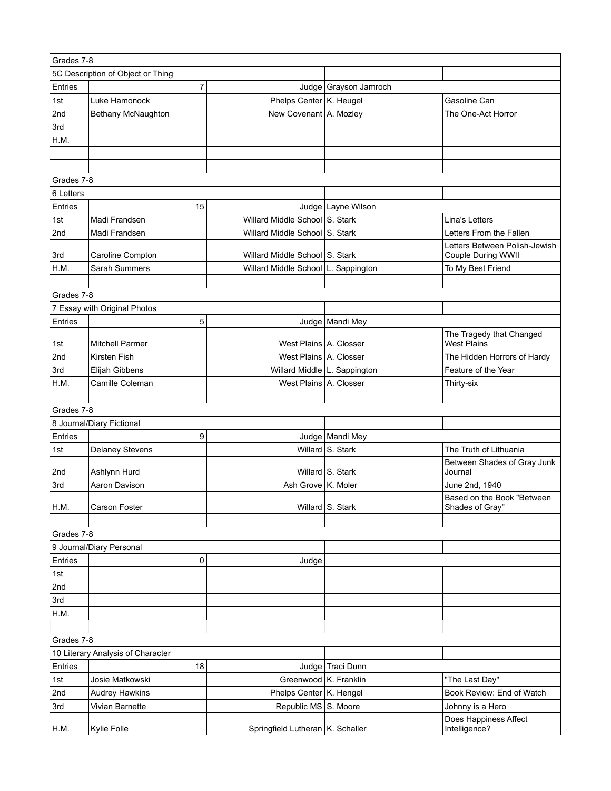|            | Grades 7-8                        |                                     |                       |                                              |  |
|------------|-----------------------------------|-------------------------------------|-----------------------|----------------------------------------------|--|
|            | 5C Description of Object or Thing |                                     |                       |                                              |  |
| Entries    | 7                                 |                                     | Judge Grayson Jamroch |                                              |  |
| 1st        | Luke Hamonock                     | Phelps Center K. Heugel             |                       | Gasoline Can                                 |  |
| 2nd        | Bethany McNaughton                | New Covenant A. Mozley              |                       | The One-Act Horror                           |  |
| 3rd        |                                   |                                     |                       |                                              |  |
| H.M.       |                                   |                                     |                       |                                              |  |
|            |                                   |                                     |                       |                                              |  |
|            |                                   |                                     |                       |                                              |  |
| Grades 7-8 |                                   |                                     |                       |                                              |  |
| 6 Letters  |                                   |                                     |                       |                                              |  |
| Entries    | 15                                |                                     | Judge   Layne Wilson  |                                              |  |
| 1st        | Madi Frandsen                     | Willard Middle School S. Stark      |                       | Lina's Letters                               |  |
| 2nd        | Madi Frandsen                     | Willard Middle School S. Stark      |                       | Letters From the Fallen                      |  |
|            |                                   |                                     |                       | Letters Between Polish-Jewish                |  |
| 3rd        | Caroline Compton                  | Willard Middle School S. Stark      |                       | Couple During WWII                           |  |
| H.M.       | Sarah Summers                     | Willard Middle School L. Sappington |                       | To My Best Friend                            |  |
|            |                                   |                                     |                       |                                              |  |
| Grades 7-8 | 7 Essay with Original Photos      |                                     |                       |                                              |  |
| Entries    | 5                                 |                                     |                       |                                              |  |
|            |                                   |                                     | Judge   Mandi Mey     | The Tragedy that Changed                     |  |
| 1st        | <b>Mitchell Parmer</b>            | West Plains A. Closser              |                       | West Plains                                  |  |
| 2nd        | Kirsten Fish                      | West Plains A. Closser              |                       | The Hidden Horrors of Hardy                  |  |
| 3rd        | Elijah Gibbens                    | Willard Middle L. Sappington        |                       | Feature of the Year                          |  |
| H.M.       | Camille Coleman                   | West Plains A. Closser              |                       | Thirty-six                                   |  |
|            |                                   |                                     |                       |                                              |  |
| Grades 7-8 |                                   |                                     |                       |                                              |  |
|            | 8 Journal/Diary Fictional         |                                     |                       |                                              |  |
| Entries    | 9                                 |                                     | Judge   Mandi Mey     |                                              |  |
| 1st        | <b>Delaney Stevens</b>            |                                     | Willard S. Stark      | The Truth of Lithuania                       |  |
|            |                                   |                                     | Willard S. Stark      | Between Shades of Gray Junk                  |  |
| 2nd        | Ashlynn Hurd                      |                                     |                       | Journal                                      |  |
| 3rd        | Aaron Davison                     | Ash Grove K. Moler                  |                       | June 2nd, 1940<br>Based on the Book "Between |  |
| H.M.       | Carson Foster                     |                                     | Willard S. Stark      | Shades of Gray"                              |  |
|            |                                   |                                     |                       |                                              |  |
| Grades 7-8 |                                   |                                     |                       |                                              |  |
|            | 9 Journal/Diary Personal          |                                     |                       |                                              |  |
| Entries    | 0                                 | Judge                               |                       |                                              |  |
| 1st        |                                   |                                     |                       |                                              |  |
| 2nd        |                                   |                                     |                       |                                              |  |
| 3rd        |                                   |                                     |                       |                                              |  |
| H.M.       |                                   |                                     |                       |                                              |  |
|            |                                   |                                     |                       |                                              |  |
| Grades 7-8 |                                   |                                     |                       |                                              |  |
|            | 10 Literary Analysis of Character |                                     |                       |                                              |  |
| Entries    | 18                                |                                     | Judge Traci Dunn      |                                              |  |
| 1st        | Josie Matkowski                   | Greenwood K. Franklin               |                       | "The Last Day"                               |  |
| 2nd        | <b>Audrey Hawkins</b>             | Phelps Center K. Hengel             |                       | Book Review: End of Watch                    |  |
| 3rd        | Vivian Barnette                   | Republic MS S. Moore                |                       | Johnny is a Hero                             |  |
| H.M.       | Kylie Folle                       | Springfield Lutheran   K. Schaller  |                       | Does Happiness Affect<br>Intelligence?       |  |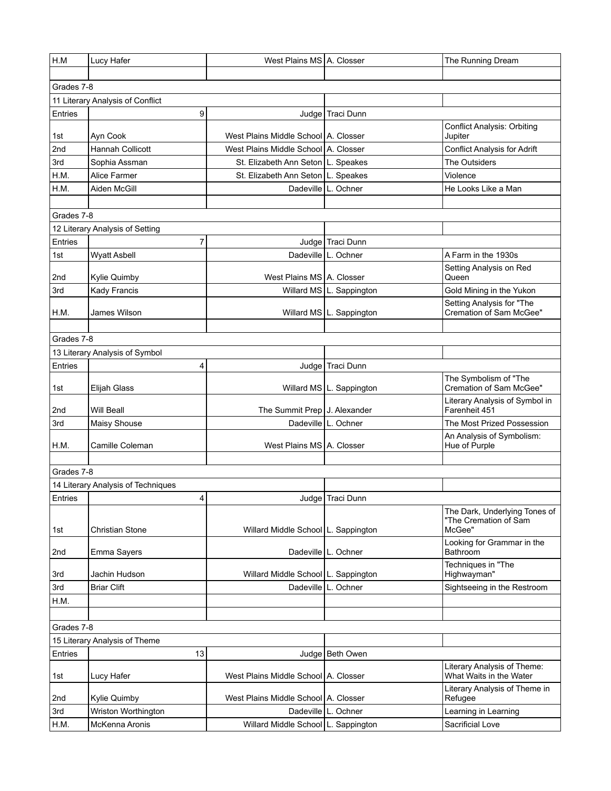| H.M        | Lucy Hafer                         | West Plains MS A. Closser              |                            | The Running Dream                                                |
|------------|------------------------------------|----------------------------------------|----------------------------|------------------------------------------------------------------|
|            |                                    |                                        |                            |                                                                  |
| Grades 7-8 |                                    |                                        |                            |                                                                  |
|            | 11 Literary Analysis of Conflict   |                                        |                            |                                                                  |
| Entries    | 9                                  |                                        | Judge   Traci Dunn         |                                                                  |
| 1st        | Ayn Cook                           | West Plains Middle School A. Closser   |                            | <b>Conflict Analysis: Orbiting</b><br>Jupiter                    |
| 2nd        | Hannah Collicott                   | West Plains Middle School   A. Closser |                            | <b>Conflict Analysis for Adrift</b>                              |
| 3rd        | Sophia Assman                      | St. Elizabeth Ann Seton   L. Speakes   |                            | The Outsiders                                                    |
| H.M.       | Alice Farmer                       | St. Elizabeth Ann Seton                | L. Speakes                 | Violence                                                         |
| H.M.       | Aiden McGill                       | Dadeville                              | L. Ochner                  | He Looks Like a Man                                              |
|            |                                    |                                        |                            |                                                                  |
| Grades 7-8 |                                    |                                        |                            |                                                                  |
|            | 12 Literary Analysis of Setting    |                                        |                            |                                                                  |
| Entries    | 7                                  |                                        | Judge Traci Dunn           |                                                                  |
| 1st        | <b>Wyatt Asbell</b>                |                                        | Dadeville   L. Ochner      | A Farm in the 1930s                                              |
| 2nd        | Kylie Quimby                       | West Plains MS   A. Closser            |                            | Setting Analysis on Red<br>Queen                                 |
| 3rd        | Kady Francis                       |                                        | Willard MS   L. Sappington | Gold Mining in the Yukon                                         |
|            |                                    |                                        |                            | Setting Analysis for "The                                        |
| H.M.       | James Wilson                       |                                        | Willard MS   L. Sappington | Cremation of Sam McGee"                                          |
|            |                                    |                                        |                            |                                                                  |
| Grades 7-8 |                                    |                                        |                            |                                                                  |
|            | 13 Literary Analysis of Symbol     |                                        |                            |                                                                  |
| Entries    | 4                                  | Judge                                  | Traci Dunn                 |                                                                  |
| 1st        | Elijah Glass                       |                                        | Willard MS   L. Sappington | The Symbolism of "The<br>Cremation of Sam McGee"                 |
| 2nd        | Will Beall                         | The Summit Prep J. Alexander           |                            | Literary Analysis of Symbol in<br>Farenheit 451                  |
| 3rd        | Maisy Shouse                       |                                        | Dadeville   L. Ochner      | The Most Prized Possession                                       |
| H.M.       | Camille Coleman                    | West Plains MS   A. Closser            |                            | An Analysis of Symbolism:<br>Hue of Purple                       |
|            |                                    |                                        |                            |                                                                  |
| Grades 7-8 |                                    |                                        |                            |                                                                  |
|            | 14 Literary Analysis of Techniques |                                        |                            |                                                                  |
| Entries    | 4                                  |                                        | Judge   Traci Dunn         |                                                                  |
| 1st        | Christian Stone                    | Willard Middle School L. Sappington    |                            | The Dark, Underlying Tones of<br>"The Cremation of Sam<br>McGee" |
| 2nd        | Emma Sayers                        |                                        | Dadeville   L. Ochner      | Looking for Grammar in the<br>Bathroom                           |
| 3rd        | Jachin Hudson                      | Willard Middle School L. Sappington    |                            | Techniques in "The<br>Highwayman"                                |
| 3rd        | <b>Briar Clift</b>                 | Dadeville                              | L. Ochner                  | Sightseeing in the Restroom                                      |
| H.M.       |                                    |                                        |                            |                                                                  |
|            |                                    |                                        |                            |                                                                  |
| Grades 7-8 |                                    |                                        |                            |                                                                  |
|            | 15 Literary Analysis of Theme      |                                        |                            |                                                                  |
| Entries    | 13                                 |                                        | Judge   Beth Owen          |                                                                  |
| 1st        | Lucy Hafer                         | West Plains Middle School   A. Closser |                            | Literary Analysis of Theme:<br>What Waits in the Water           |
| 2nd        | Kylie Quimby                       | West Plains Middle School A. Closser   |                            | Literary Analysis of Theme in<br>Refugee                         |
| 3rd        | Wriston Worthington                |                                        | Dadeville   L. Ochner      | Learning in Learning                                             |
| H.M.       | McKenna Aronis                     | Willard Middle School   L. Sappington  |                            | Sacrificial Love                                                 |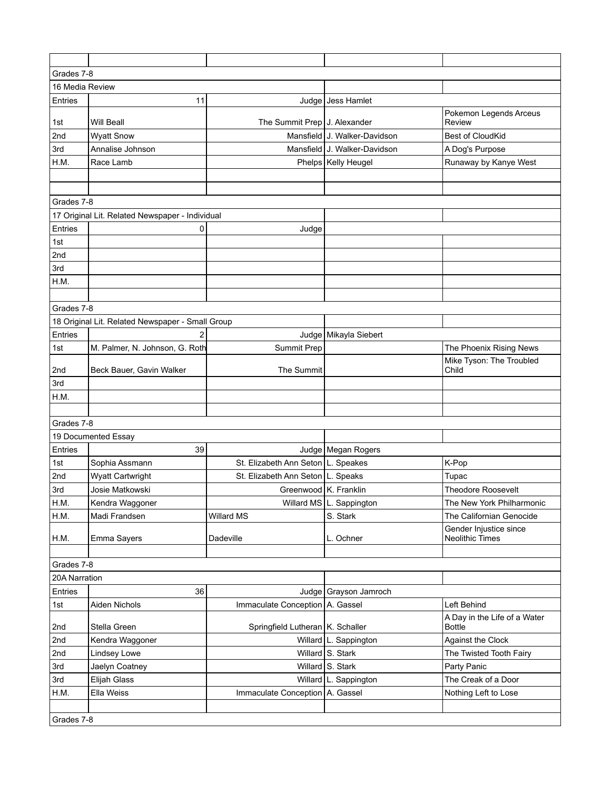| Grades 7-8      |                                                  |                                                                             |                              |                                                       |  |
|-----------------|--------------------------------------------------|-----------------------------------------------------------------------------|------------------------------|-------------------------------------------------------|--|
| 16 Media Review |                                                  |                                                                             |                              |                                                       |  |
| Entries         | 11                                               |                                                                             | Judge Jess Hamlet            |                                                       |  |
| 1st             | Will Beall                                       | The Summit Prep   J. Alexander                                              |                              | Pokemon Legends Arceus<br>Review                      |  |
| 2nd             | <b>Wyatt Snow</b>                                |                                                                             | Mansfield J. Walker-Davidson | <b>Best of CloudKid</b>                               |  |
| 3rd             | Annalise Johnson                                 |                                                                             | Mansfield J. Walker-Davidson | A Dog's Purpose                                       |  |
| H.M.            | Race Lamb                                        |                                                                             | Phelps   Kelly Heugel        | Runaway by Kanye West                                 |  |
|                 |                                                  |                                                                             |                              |                                                       |  |
|                 |                                                  |                                                                             |                              |                                                       |  |
| Grades 7-8      |                                                  |                                                                             |                              |                                                       |  |
|                 | 17 Original Lit. Related Newspaper - Individual  |                                                                             |                              |                                                       |  |
| Entries         | 0                                                | Judge                                                                       |                              |                                                       |  |
| 1st             |                                                  |                                                                             |                              |                                                       |  |
| 2nd             |                                                  |                                                                             |                              |                                                       |  |
| 3rd             |                                                  |                                                                             |                              |                                                       |  |
| H.M.            |                                                  |                                                                             |                              |                                                       |  |
|                 |                                                  |                                                                             |                              |                                                       |  |
| Grades 7-8      |                                                  |                                                                             |                              |                                                       |  |
|                 | 18 Original Lit. Related Newspaper - Small Group |                                                                             |                              |                                                       |  |
| Entries         | $\overline{2}$                                   |                                                                             | Judge   Mikayla Siebert      |                                                       |  |
| 1st             | M. Palmer, N. Johnson, G. Roth                   | Summit Prep                                                                 |                              | The Phoenix Rising News                               |  |
|                 |                                                  |                                                                             |                              | Mike Tyson: The Troubled                              |  |
| 2nd             | Beck Bauer, Gavin Walker                         | The Summit                                                                  |                              | Child                                                 |  |
| 3rd             |                                                  |                                                                             |                              |                                                       |  |
| H.M.            |                                                  |                                                                             |                              |                                                       |  |
|                 |                                                  |                                                                             |                              |                                                       |  |
| Grades 7-8      |                                                  |                                                                             |                              |                                                       |  |
|                 | 19 Documented Essay                              |                                                                             |                              |                                                       |  |
| Entries         | 39                                               |                                                                             | Judge   Megan Rogers         |                                                       |  |
| 1st             | Sophia Assmann                                   | St. Elizabeth Ann Seton   L. Speakes<br>St. Elizabeth Ann Seton   L. Speaks |                              | K-Pop                                                 |  |
| 2nd             | <b>Wyatt Cartwright</b><br>Josie Matkowski       | Greenwood K. Franklin                                                       |                              | Tupac                                                 |  |
| 3rd             |                                                  |                                                                             |                              | <b>Theodore Roosevelt</b>                             |  |
| H.M.            | Kendra Waggoner                                  |                                                                             | Willard MS L. Sappington     | The New York Philharmonic<br>The Californian Genocide |  |
| H.M.            | Madi Frandsen                                    | Willard MS                                                                  | S. Stark                     | Gender Injustice since                                |  |
| H.M.            | Emma Sayers                                      | Dadeville                                                                   | L. Ochner                    | <b>Neolithic Times</b>                                |  |
|                 |                                                  |                                                                             |                              |                                                       |  |
| Grades 7-8      |                                                  |                                                                             |                              |                                                       |  |
| 20A Narration   |                                                  |                                                                             |                              |                                                       |  |
| Entries         | 36                                               |                                                                             | Judge Grayson Jamroch        |                                                       |  |
| 1st             | Aiden Nichols                                    | Immaculate Conception A. Gassel                                             |                              | Left Behind                                           |  |
| 2nd             | Stella Green                                     | Springfield Lutheran   K. Schaller                                          |                              | A Day in the Life of a Water<br><b>Bottle</b>         |  |
| 2nd             | Kendra Waggoner                                  |                                                                             | Willard   L. Sappington      | Against the Clock                                     |  |
| 2nd             | Lindsey Lowe                                     |                                                                             | Willard S. Stark             | The Twisted Tooth Fairy                               |  |
| 3rd             | Jaelyn Coatney                                   |                                                                             | Willard S. Stark             | Party Panic                                           |  |
| 3rd             | Elijah Glass                                     |                                                                             | Willard   L. Sappington      | The Creak of a Door                                   |  |
| H.M.            | Ella Weiss                                       | Immaculate Conception   A. Gassel                                           |                              | Nothing Left to Lose                                  |  |
|                 |                                                  |                                                                             |                              |                                                       |  |
| Grades 7-8      |                                                  |                                                                             |                              |                                                       |  |
|                 |                                                  |                                                                             |                              |                                                       |  |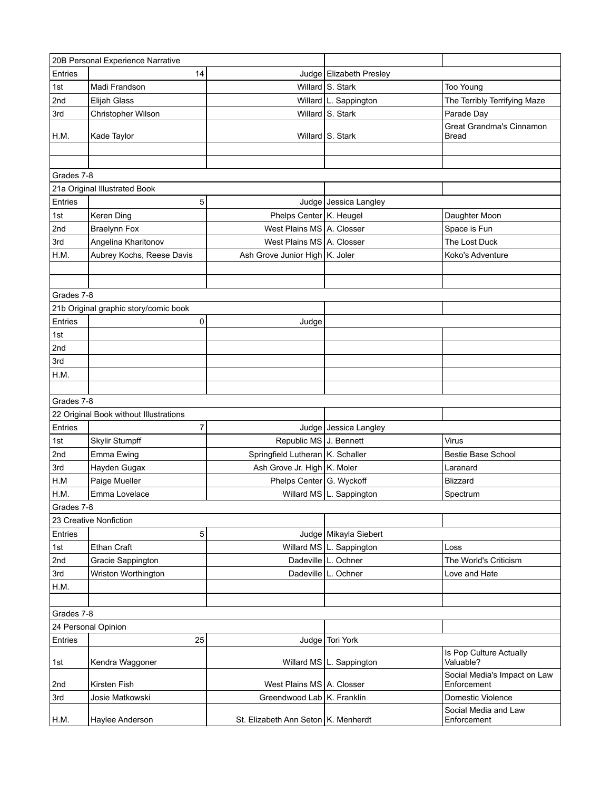| 20B Personal Experience Narrative |                                        |                                       |                            |                                             |  |
|-----------------------------------|----------------------------------------|---------------------------------------|----------------------------|---------------------------------------------|--|
| Entries                           | 14                                     |                                       | Judge   Elizabeth Presley  |                                             |  |
| 1st                               | Madi Frandson                          |                                       | Willard S. Stark           | Too Young                                   |  |
| 2nd                               | Elijah Glass                           |                                       | Willard   L. Sappington    | The Terribly Terrifying Maze                |  |
| 3rd                               | Christopher Wilson                     |                                       | Willard S. Stark           | Parade Day                                  |  |
| H.M.                              | Kade Taylor                            |                                       | Willard S. Stark           | Great Grandma's Cinnamon<br>Bread           |  |
|                                   |                                        |                                       |                            |                                             |  |
|                                   |                                        |                                       |                            |                                             |  |
| Grades 7-8                        |                                        |                                       |                            |                                             |  |
|                                   | 21a Original Illustrated Book          |                                       |                            |                                             |  |
| Entries                           | 5                                      |                                       | Judge   Jessica Langley    |                                             |  |
| 1st                               | Keren Ding                             | Phelps Center K. Heugel               |                            | Daughter Moon                               |  |
| 2nd                               | <b>Braelynn Fox</b>                    | West Plains MS A. Closser             |                            | Space is Fun                                |  |
| 3rd                               | Angelina Kharitonov                    | West Plains MS A. Closser             |                            | The Lost Duck                               |  |
| H.M.                              | Aubrey Kochs, Reese Davis              | Ash Grove Junior High K. Joler        |                            | Koko's Adventure                            |  |
|                                   |                                        |                                       |                            |                                             |  |
|                                   |                                        |                                       |                            |                                             |  |
| Grades 7-8                        |                                        |                                       |                            |                                             |  |
|                                   | 21b Original graphic story/comic book  |                                       |                            |                                             |  |
| Entries                           | 0                                      | Judge                                 |                            |                                             |  |
| 1st                               |                                        |                                       |                            |                                             |  |
| 2nd                               |                                        |                                       |                            |                                             |  |
| 3rd                               |                                        |                                       |                            |                                             |  |
| H.M.                              |                                        |                                       |                            |                                             |  |
|                                   |                                        |                                       |                            |                                             |  |
| Grades 7-8                        |                                        |                                       |                            |                                             |  |
|                                   | 22 Original Book without Illustrations |                                       |                            |                                             |  |
| Entries                           | 7                                      |                                       | Judge Jessica Langley      |                                             |  |
| 1st                               | Skylir Stumpff                         | Republic MS J. Bennett                |                            | Virus                                       |  |
| 2nd                               | Emma Ewing                             | Springfield Lutheran   K. Schaller    |                            | Bestie Base School                          |  |
| 3rd                               | Hayden Gugax                           | Ash Grove Jr. High K. Moler           |                            | Laranard                                    |  |
| H.M                               | Paige Mueller                          | Phelps Center G. Wyckoff              |                            | <b>Blizzard</b>                             |  |
| H.M.                              | Emma Lovelace                          |                                       | Willard MS   L. Sappington | Spectrum                                    |  |
| Grades 7-8                        |                                        |                                       |                            |                                             |  |
|                                   | 23 Creative Nonfiction                 |                                       |                            |                                             |  |
| Entries                           | 5                                      |                                       | Judge   Mikayla Siebert    |                                             |  |
| 1st                               | Ethan Craft                            |                                       | Willard MS   L. Sappington | Loss                                        |  |
| 2nd                               | Gracie Sappington                      |                                       | Dadeville L. Ochner        | The World's Criticism                       |  |
| 3rd                               | Wriston Worthington                    |                                       | Dadeville   L. Ochner      | Love and Hate                               |  |
| H.M.                              |                                        |                                       |                            |                                             |  |
|                                   |                                        |                                       |                            |                                             |  |
| Grades 7-8                        |                                        |                                       |                            |                                             |  |
| 24 Personal Opinion               |                                        |                                       |                            |                                             |  |
| Entries                           | 25                                     |                                       | Judge Tori York            |                                             |  |
| 1st                               | Kendra Waggoner                        |                                       | Willard MS   L. Sappington | Is Pop Culture Actually<br>Valuable?        |  |
| 2nd                               | Kirsten Fish                           | West Plains MS   A. Closser           |                            | Social Media's Impact on Law<br>Enforcement |  |
| 3rd                               | Josie Matkowski                        | Greendwood Lab   K. Franklin          |                            | Domestic Violence                           |  |
|                                   |                                        |                                       |                            | Social Media and Law                        |  |
| H.M.                              | Haylee Anderson                        | St. Elizabeth Ann Seton   K. Menherdt |                            | Enforcement                                 |  |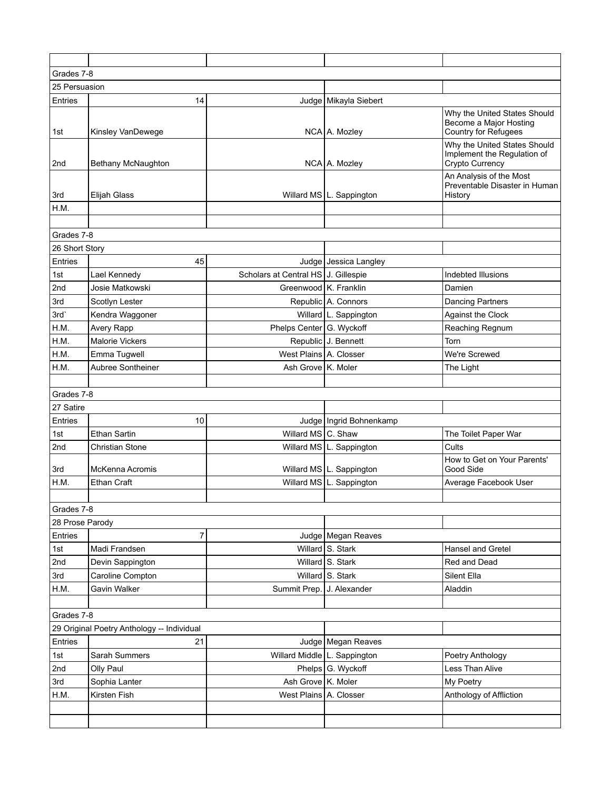| Grades 7-8      |                                            |                                     |                                |                                                                                |
|-----------------|--------------------------------------------|-------------------------------------|--------------------------------|--------------------------------------------------------------------------------|
| 25 Persuasion   |                                            |                                     |                                |                                                                                |
| Entries         | 14                                         |                                     | Judge   Mikayla Siebert        |                                                                                |
| 1st             | Kinsley VanDewege                          |                                     | NCA A. Mozley                  | Why the United States Should<br>Become a Major Hosting<br>Country for Refugees |
| 2nd             | Bethany McNaughton                         |                                     | NCA   A. Mozley                | Why the United States Should<br>Implement the Regulation of<br>Crypto Currency |
| 3rd             | <b>Elijah Glass</b>                        |                                     | Willard MS   L. Sappington     | An Analysis of the Most<br>Preventable Disaster in Human<br>History            |
| H.M.            |                                            |                                     |                                |                                                                                |
|                 |                                            |                                     |                                |                                                                                |
| Grades 7-8      |                                            |                                     |                                |                                                                                |
| 26 Short Story  |                                            |                                     |                                |                                                                                |
| Entries         | 45                                         |                                     | Judge Jessica Langley          |                                                                                |
| 1st             | Lael Kennedy                               | Scholars at Central HS J. Gillespie |                                | Indebted Illusions                                                             |
| 2nd             | Josie Matkowski                            | Greenwood   K. Franklin             |                                | Damien                                                                         |
| 3rd             | Scotlyn Lester                             |                                     | Republic A. Connors            | <b>Dancing Partners</b>                                                        |
| 3rd             | Kendra Waggoner                            |                                     | Willard   L. Sappington        | Against the Clock                                                              |
| H.M.            | Avery Rapp                                 | Phelps Center G. Wyckoff            |                                | Reaching Regnum                                                                |
| H.M.            | <b>Malorie Vickers</b>                     |                                     | Republic J. Bennett            | Torn                                                                           |
| H.M.            | Emma Tugwell                               | West Plains A. Closser              |                                | We're Screwed                                                                  |
| H.M.            | Aubree Sontheiner                          | Ash Grove K. Moler                  |                                | The Light                                                                      |
|                 |                                            |                                     |                                |                                                                                |
| Grades 7-8      |                                            |                                     |                                |                                                                                |
| 27 Satire       |                                            |                                     |                                |                                                                                |
| Entries         | 10                                         |                                     | Judge   Ingrid Bohnenkamp      |                                                                                |
| 1st             | <b>Ethan Sartin</b>                        | Willard MS C. Shaw                  |                                | The Toilet Paper War                                                           |
| 2nd             | <b>Christian Stone</b>                     |                                     | Willard MS   L. Sappington     | Cults                                                                          |
| 3rd             | <b>McKenna Acromis</b>                     |                                     | Willard MS   L. Sappington     | How to Get on Your Parents'<br>Good Side                                       |
| H.M.            | <b>Ethan Craft</b>                         | Willard MS                          | L. Sappington                  | Average Facebook User                                                          |
|                 |                                            |                                     |                                |                                                                                |
| Grades 7-8      |                                            |                                     |                                |                                                                                |
| 28 Prose Parody |                                            |                                     |                                |                                                                                |
| Entries         | $\overline{7}$                             |                                     | Judge   Megan Reaves           |                                                                                |
| 1st             | Madi Frandsen                              |                                     | Willard S. Stark               | Hansel and Gretel                                                              |
| 2nd             | Devin Sappington                           |                                     | Willard S. Stark               | Red and Dead                                                                   |
| 3rd             | Caroline Compton                           |                                     | Willard S. Stark               | Silent Ella                                                                    |
| H.M.            | Gavin Walker                               | Summit Prep.                        | J. Alexander                   | Aladdin                                                                        |
|                 |                                            |                                     |                                |                                                                                |
| Grades 7-8      |                                            |                                     |                                |                                                                                |
|                 | 29 Original Poetry Anthology -- Individual |                                     |                                |                                                                                |
| Entries         | 21                                         |                                     | Judge   Megan Reaves           |                                                                                |
| 1st             | Sarah Summers                              |                                     | Willard Middle   L. Sappington | Poetry Anthology                                                               |
| 2nd             | Olly Paul                                  |                                     | Phelps G. Wyckoff              | Less Than Alive                                                                |
| 3rd             | Sophia Lanter                              | Ash Grove K. Moler                  |                                | My Poetry                                                                      |
| H.M.            | Kirsten Fish                               | West Plains A. Closser              |                                | Anthology of Affliction                                                        |
|                 |                                            |                                     |                                |                                                                                |
|                 |                                            |                                     |                                |                                                                                |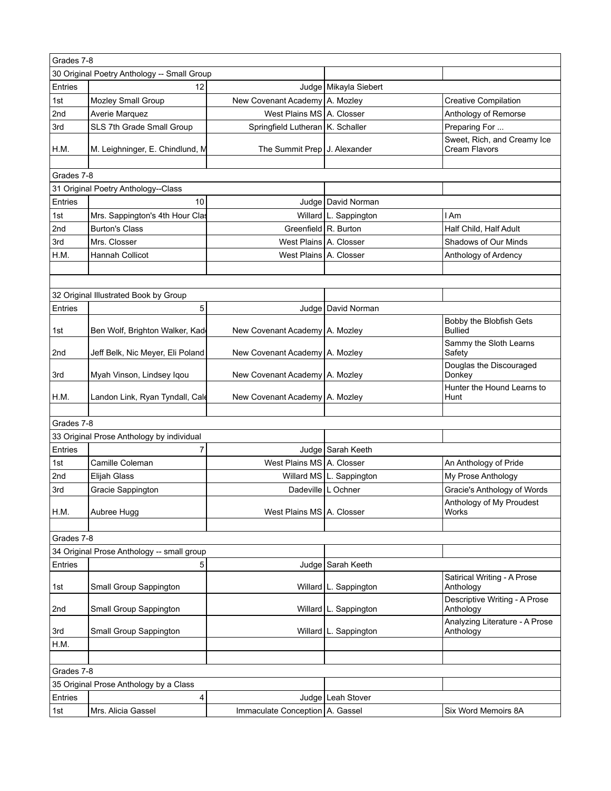|            | Grades 7-8                                  |                                    |                            |                                              |  |
|------------|---------------------------------------------|------------------------------------|----------------------------|----------------------------------------------|--|
|            | 30 Original Poetry Anthology -- Small Group |                                    |                            |                                              |  |
| Entries    | 12                                          |                                    | Judge Mikayla Siebert      |                                              |  |
| 1st        | Mozley Small Group                          | New Covenant Academy   A. Mozley   |                            | <b>Creative Compilation</b>                  |  |
| 2nd        | Averie Marquez                              | West Plains MS A. Closser          |                            | Anthology of Remorse                         |  |
| 3rd        | SLS 7th Grade Small Group                   | Springfield Lutheran   K. Schaller |                            | Preparing For                                |  |
| H.M.       | M. Leighninger, E. Chindlund, M             | The Summit Prep   J. Alexander     |                            | Sweet, Rich, and Creamy Ice<br>Cream Flavors |  |
|            |                                             |                                    |                            |                                              |  |
| Grades 7-8 | 31 Original Poetry Anthology--Class         |                                    |                            |                                              |  |
| Entries    | 10                                          |                                    | Judge   David Norman       |                                              |  |
| 1st        | Mrs. Sappington's 4th Hour Clas             |                                    | Willard   L. Sappington    | l Am                                         |  |
| 2nd        | <b>Burton's Class</b>                       | Greenfield R. Burton               |                            | Half Child, Half Adult                       |  |
| 3rd        | Mrs. Closser                                | West Plains A. Closser             |                            | Shadows of Our Minds                         |  |
| H.M.       | Hannah Collicot                             | West Plains A. Closser             |                            |                                              |  |
|            |                                             |                                    |                            | Anthology of Ardency                         |  |
|            |                                             |                                    |                            |                                              |  |
|            |                                             |                                    |                            |                                              |  |
|            | 32 Original Illustrated Book by Group       |                                    |                            |                                              |  |
| Entries    | 5                                           |                                    | Judge   David Norman       |                                              |  |
| 1st        | Ben Wolf, Brighton Walker, Kad              | New Covenant Academy   A. Mozley   |                            | Bobby the Blobfish Gets<br><b>Bullied</b>    |  |
| 2nd        | Jeff Belk, Nic Meyer, Eli Poland            | New Covenant Academy   A. Mozley   |                            | Sammy the Sloth Learns<br>Safety             |  |
| 3rd        | Myah Vinson, Lindsey Iqou                   | New Covenant Academy   A. Mozley   |                            | Douglas the Discouraged<br>Donkey            |  |
| H.M.       | Landon Link, Ryan Tyndall, Cale             | New Covenant Academy   A. Mozley   |                            | Hunter the Hound Learns to<br>Hunt           |  |
|            |                                             |                                    |                            |                                              |  |
| Grades 7-8 |                                             |                                    |                            |                                              |  |
|            | 33 Original Prose Anthology by individual   |                                    |                            |                                              |  |
| Entries    | 7                                           |                                    | Judge Sarah Keeth          |                                              |  |
| 1st        | Camille Coleman                             | West Plains MS A. Closser          |                            | An Anthology of Pride                        |  |
| 2nd        | Elijah Glass                                |                                    | Willard MS   L. Sappington | My Prose Anthology                           |  |
| 3rd        | Gracie Sappington                           | Dadeville L Ochner                 |                            | Gracie's Anthology of Words                  |  |
| H.M.       | Aubree Hugg                                 | West Plains MS   A. Closser        |                            | Anthology of My Proudest<br>Works            |  |
|            |                                             |                                    |                            |                                              |  |
| Grades 7-8 |                                             |                                    |                            |                                              |  |
|            | 34 Original Prose Anthology -- small group  |                                    |                            |                                              |  |
| Entries    | 5                                           |                                    | Judge Sarah Keeth          |                                              |  |
| 1st        | Small Group Sappington                      |                                    | Willard   L. Sappington    | Satirical Writing - A Prose<br>Anthology     |  |
| 2nd        | Small Group Sappington                      |                                    | Willard   L. Sappington    | Descriptive Writing - A Prose<br>Anthology   |  |
| 3rd        | Small Group Sappington                      |                                    | Willard L. Sappington      | Analyzing Literature - A Prose<br>Anthology  |  |
| H.M.       |                                             |                                    |                            |                                              |  |
|            |                                             |                                    |                            |                                              |  |
|            | Grades 7-8                                  |                                    |                            |                                              |  |
|            | 35 Original Prose Anthology by a Class      |                                    |                            |                                              |  |
| Entries    | 4                                           |                                    | Judge   Leah Stover        |                                              |  |
| 1st        | Mrs. Alicia Gassel                          | Immaculate Conception   A. Gassel  |                            | Six Word Memoirs 8A                          |  |
|            |                                             |                                    |                            |                                              |  |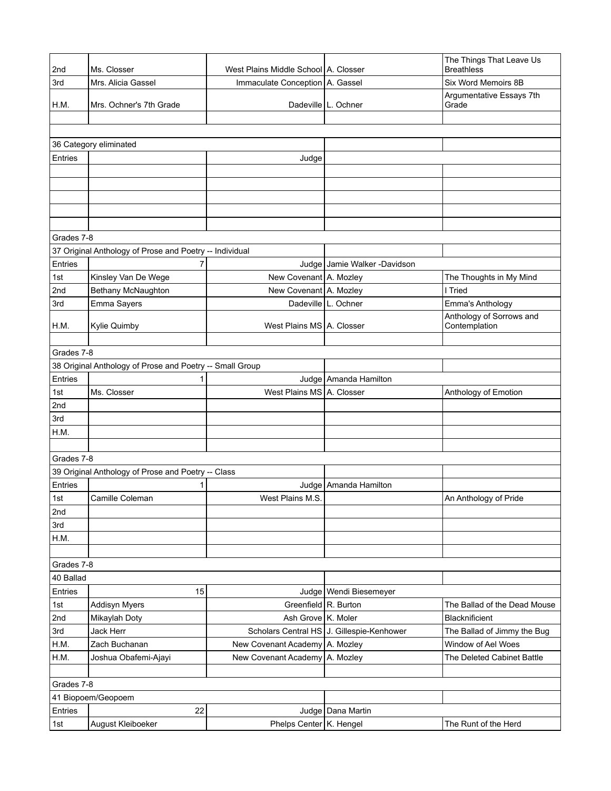| 2nd        | Ms. Closser                                              | West Plains Middle School   A. Closser |                                           | The Things That Leave Us<br><b>Breathless</b> |  |  |
|------------|----------------------------------------------------------|----------------------------------------|-------------------------------------------|-----------------------------------------------|--|--|
| 3rd        | Mrs. Alicia Gassel                                       | Immaculate Conception   A. Gassel      |                                           | Six Word Memoirs 8B                           |  |  |
|            |                                                          |                                        |                                           | Argumentative Essays 7th                      |  |  |
| H.M.       | Mrs. Ochner's 7th Grade                                  |                                        | Dadeville   L. Ochner                     | Grade                                         |  |  |
|            |                                                          |                                        |                                           |                                               |  |  |
|            |                                                          |                                        |                                           |                                               |  |  |
|            | 36 Category eliminated                                   |                                        |                                           |                                               |  |  |
| Entries    |                                                          | Judge                                  |                                           |                                               |  |  |
|            |                                                          |                                        |                                           |                                               |  |  |
|            |                                                          |                                        |                                           |                                               |  |  |
|            |                                                          |                                        |                                           |                                               |  |  |
|            |                                                          |                                        |                                           |                                               |  |  |
| Grades 7-8 |                                                          |                                        |                                           |                                               |  |  |
|            | 37 Original Anthology of Prose and Poetry -- Individual  |                                        |                                           |                                               |  |  |
| Entries    | 7                                                        |                                        | Judge Jamie Walker -Davidson              |                                               |  |  |
| 1st        | Kinsley Van De Wege                                      | New Covenant A. Mozley                 |                                           | The Thoughts in My Mind                       |  |  |
| 2nd        | Bethany McNaughton                                       | New Covenant A. Mozley                 |                                           | I Tried                                       |  |  |
| 3rd        | Emma Sayers                                              |                                        | Dadeville   L. Ochner                     | Emma's Anthology                              |  |  |
|            |                                                          |                                        |                                           | Anthology of Sorrows and                      |  |  |
| H.M.       | Kylie Quimby                                             | West Plains MS   A. Closser            |                                           | Contemplation                                 |  |  |
|            |                                                          |                                        |                                           |                                               |  |  |
|            | Grades 7-8                                               |                                        |                                           |                                               |  |  |
|            | 38 Original Anthology of Prose and Poetry -- Small Group |                                        |                                           |                                               |  |  |
| Entries    | 1                                                        |                                        | Judge Amanda Hamilton                     |                                               |  |  |
| 1st        | Ms. Closser                                              | West Plains MS   A. Closser            |                                           | Anthology of Emotion                          |  |  |
| 2nd        |                                                          |                                        |                                           |                                               |  |  |
| 3rd        |                                                          |                                        |                                           |                                               |  |  |
| H.M.       |                                                          |                                        |                                           |                                               |  |  |
|            |                                                          |                                        |                                           |                                               |  |  |
| Grades 7-8 |                                                          |                                        |                                           |                                               |  |  |
|            | 39 Original Anthology of Prose and Poetry -- Class       |                                        |                                           |                                               |  |  |
| Entries    | 1                                                        |                                        | Judge   Amanda Hamilton                   |                                               |  |  |
| 1st        | Camille Coleman                                          | West Plains M.S.                       |                                           | An Anthology of Pride                         |  |  |
| 2nd        |                                                          |                                        |                                           |                                               |  |  |
| 3rd        |                                                          |                                        |                                           |                                               |  |  |
| H.M.       |                                                          |                                        |                                           |                                               |  |  |
| Grades 7-8 |                                                          |                                        |                                           |                                               |  |  |
| 40 Ballad  |                                                          |                                        |                                           |                                               |  |  |
| Entries    | 15                                                       |                                        | Judge   Wendi Biesemeyer                  |                                               |  |  |
| 1st        | <b>Addisyn Myers</b>                                     | Greenfield R. Burton                   |                                           | The Ballad of the Dead Mouse                  |  |  |
| 2nd        | Mikaylah Doty                                            | Ash Grove K. Moler                     |                                           | Blacknificient                                |  |  |
| 3rd        | Jack Herr                                                |                                        | Scholars Central HS J. Gillespie-Kenhower | The Ballad of Jimmy the Bug                   |  |  |
| H.M.       | Zach Buchanan                                            | New Covenant Academy A. Mozley         |                                           | Window of Ael Woes                            |  |  |
| H.M.       | Joshua Obafemi-Ajayi                                     | New Covenant Academy                   | A. Mozley                                 | The Deleted Cabinet Battle                    |  |  |
|            |                                                          |                                        |                                           |                                               |  |  |
| Grades 7-8 |                                                          |                                        |                                           |                                               |  |  |
|            | 41 Biopoem/Geopoem                                       |                                        |                                           |                                               |  |  |
| Entries    | 22                                                       |                                        | Judge   Dana Martin                       |                                               |  |  |
| 1st        | August Kleiboeker                                        | Phelps Center K. Hengel                |                                           | The Runt of the Herd                          |  |  |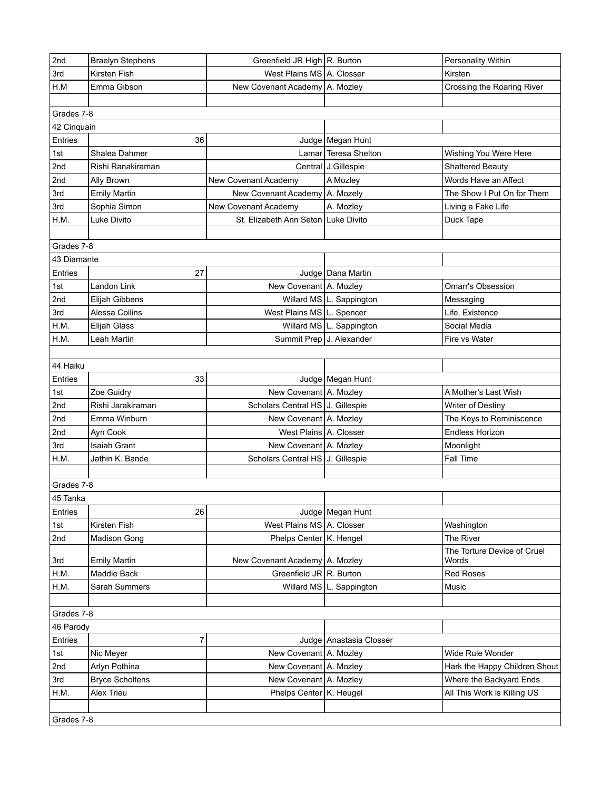| 2nd         | <b>Braelyn Stephens</b> | Greenfield JR High R. Burton          |                            | Personality Within            |
|-------------|-------------------------|---------------------------------------|----------------------------|-------------------------------|
| 3rd         | Kirsten Fish            | West Plains MS A. Closser             |                            | Kirsten                       |
| H.M         | Emma Gibson             | New Covenant Academy A. Mozley        |                            | Crossing the Roaring River    |
|             |                         |                                       |                            |                               |
| Grades 7-8  |                         |                                       |                            |                               |
| 42 Cinquain |                         |                                       |                            |                               |
| Entries     | 36                      |                                       | Judge   Megan Hunt         |                               |
| 1st         | Shalea Dahmer           |                                       | Lamar Teresa Shelton       | Wishing You Were Here         |
| 2nd         | Rishi Ranakiraman       |                                       | Central   J.Gillespie      | <b>Shattered Beauty</b>       |
| 2nd         | Ally Brown              | New Covenant Academy                  | A Mozley                   | Words Have an Affect          |
| 3rd         | <b>Emily Martin</b>     | New Covenant Academy   A. Mozely      |                            | The Show I Put On for Them    |
| 3rd         | Sophia Simon            | New Covenant Academy                  | A. Mozley                  | Living a Fake Life            |
| H.M.        | Luke Divito             | St. Elizabeth Ann Seton   Luke Divito |                            | Duck Tape                     |
|             |                         |                                       |                            |                               |
| Grades 7-8  |                         |                                       |                            |                               |
| 43 Diamante |                         |                                       |                            |                               |
| Entries     | 27                      |                                       | Judge   Dana Martin        |                               |
| 1st         | Landon Link             | New Covenant   A. Mozley              |                            | <b>Omarr's Obsession</b>      |
| 2nd         | Elijah Gibbens          |                                       | Willard MS   L. Sappington | Messaging                     |
| 3rd         | Alessa Collins          | West Plains MS L. Spencer             |                            | Life, Existence               |
| H.M.        | Elijah Glass            |                                       | Willard MS   L. Sappington | Social Media                  |
| H.M.        | Leah Martin             | Summit Prep   J. Alexander            |                            | Fire vs Water                 |
|             |                         |                                       |                            |                               |
| 44 Haiku    |                         |                                       |                            |                               |
| Entries     | 33                      |                                       | Judge   Megan Hunt         |                               |
| 1st         | Zoe Guidry              | New Covenant A. Mozley                |                            | A Mother's Last Wish          |
| 2nd         | Rishi Jarakiraman       | Scholars Central HS J. Gillespie      |                            | Writer of Destiny             |
| 2nd         | Emma Winburn            | New Covenant A. Mozley                |                            | The Keys to Reminiscence      |
| 2nd         | Ayn Cook                | West Plains A. Closser                |                            | <b>Endless Horizon</b>        |
| 3rd         | <b>Isaiah Grant</b>     | New Covenant A. Mozley                |                            | Moonlight                     |
| H.M.        | Jathin K. Bande         | Scholars Central HS J. Gillespie      |                            | Fall Time                     |
|             |                         |                                       |                            |                               |
| Grades 7-8  |                         |                                       |                            |                               |
| 45 Tanka    |                         |                                       |                            |                               |
| Entries     | 26                      |                                       | Judge   Megan Hunt         |                               |
| 1st         | Kirsten Fish            | West Plains MS A. Closser             |                            | Washington                    |
| 2nd         | <b>Madison Gong</b>     | Phelps Center K. Hengel               |                            | The River                     |
|             |                         |                                       |                            | The Torture Device of Cruel   |
| 3rd         | <b>Emily Martin</b>     | New Covenant Academy   A. Mozley      |                            | Words                         |
| H.M.        | Maddie Back             | Greenfield JR R. Burton               |                            | <b>Red Roses</b>              |
| H.M.        | Sarah Summers           |                                       | Willard MS   L. Sappington | Music                         |
|             |                         |                                       |                            |                               |
| Grades 7-8  |                         |                                       |                            |                               |
| 46 Parody   |                         |                                       |                            |                               |
| Entries     | $\overline{7}$          |                                       | Judge   Anastasia Closser  |                               |
| 1st         | Nic Meyer               | New Covenant A. Mozley                |                            | Wide Rule Wonder              |
| 2nd         | Arlyn Pothina           | New Covenant A. Mozley                |                            | Hark the Happy Children Shout |
| 3rd         | <b>Bryce Scholtens</b>  | New Covenant A. Mozley                |                            | Where the Backyard Ends       |
| H.M.        | Alex Trieu              | Phelps Center K. Heugel               |                            | All This Work is Killing US   |
|             |                         |                                       |                            |                               |
| Grades 7-8  |                         |                                       |                            |                               |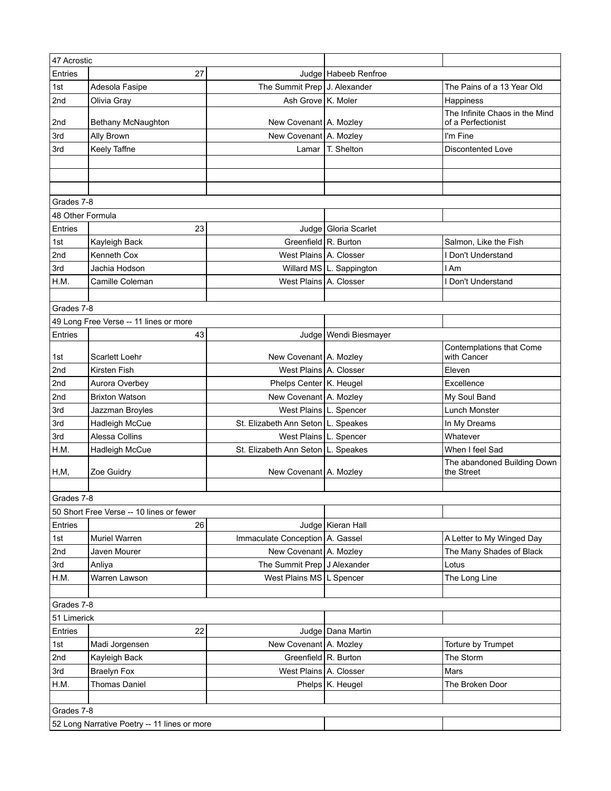| 47 Acrostic               |                                              |                                                       |                            |                                                      |
|---------------------------|----------------------------------------------|-------------------------------------------------------|----------------------------|------------------------------------------------------|
| Entries                   | 27                                           |                                                       | Judge   Habeeb Renfroe     |                                                      |
| 1st                       | Adesola Fasipe                               | The Summit Prep J. Alexander                          |                            | The Pains of a 13 Year Old                           |
| 2nd                       | Olivia Gray                                  | Ash Grove K. Moler                                    |                            | Happiness                                            |
| 2nd                       | Bethany McNaughton                           | New Covenant A. Mozley                                |                            | The Infinite Chaos in the Mind<br>of a Perfectionist |
| 3rd                       | Ally Brown                                   | New Covenant A. Mozley                                |                            | I'm Fine                                             |
| 3rd                       | Keely Taffne                                 | Lamar                                                 | T. Shelton                 | <b>Discontented Love</b>                             |
|                           |                                              |                                                       |                            |                                                      |
|                           |                                              |                                                       |                            |                                                      |
|                           |                                              |                                                       |                            |                                                      |
| Grades 7-8                |                                              |                                                       |                            |                                                      |
| 48 Other Formula          |                                              |                                                       |                            |                                                      |
| Entries                   | 23                                           |                                                       | Judge   Gloria Scarlet     |                                                      |
| 1st                       | Kayleigh Back                                | Greenfield R. Burton                                  |                            | Salmon, Like the Fish                                |
| 2nd                       | Kenneth Cox                                  | West Plains A. Closser                                |                            | I Don't Understand                                   |
| 3rd                       | Jachia Hodson                                |                                                       | Willard MS   L. Sappington | l Am                                                 |
| H.M.                      | Camille Coleman                              | West Plains A. Closser                                |                            | I Don't Understand                                   |
|                           |                                              |                                                       |                            |                                                      |
| Grades 7-8                |                                              |                                                       |                            |                                                      |
|                           | 49 Long Free Verse -- 11 lines or more       |                                                       |                            |                                                      |
| Entries                   | 43                                           |                                                       | Judge   Wendi Biesmayer    |                                                      |
| 1st                       | Scarlett Loehr                               | New Covenant A. Mozley                                |                            | Contemplations that Come<br>with Cancer              |
| 2nd                       | Kirsten Fish                                 | West Plains A. Closser                                |                            | Eleven                                               |
| 2nd                       | Aurora Overbey                               | Phelps Center   K. Heugel                             |                            | Excellence                                           |
| 2nd                       | <b>Brixton Watson</b>                        | New Covenant A. Mozley                                |                            | My Soul Band                                         |
| 3rd                       | Jazzman Broyles                              | West Plains L. Spencer                                |                            | <b>Lunch Monster</b>                                 |
| 3rd                       | Hadleigh McCue                               | St. Elizabeth Ann Seton   L. Speakes                  |                            | In My Dreams                                         |
| 3rd                       | Alessa Collins                               | West Plains   L. Spencer                              |                            | Whatever                                             |
| H.M.                      | Hadleigh McCue                               | St. Elizabeth Ann Seton   L. Speakes                  |                            | When I feel Sad                                      |
| H, M,                     | Zoe Guidry                                   | New Covenant   A. Mozley                              |                            | The abandoned Building Down<br>the Street            |
|                           |                                              |                                                       |                            |                                                      |
| Grades 7-8                |                                              |                                                       |                            |                                                      |
|                           | 50 Short Free Verse -- 10 lines or fewer     |                                                       |                            |                                                      |
| Entries                   | 26                                           |                                                       | Judge   Kieran Hall        |                                                      |
| 1st                       | Muriel Warren                                | Immaculate Conception   A. Gassel                     |                            | A Letter to My Winged Day                            |
| 2nd                       | Javen Mourer                                 | New Covenant A. Mozley<br>The Summit Prep J Alexander |                            | The Many Shades of Black                             |
| 3rd<br>H.M.               | Anliya<br>Warren Lawson                      | West Plains MS L Spencer                              |                            | Lotus<br>The Long Line                               |
|                           |                                              |                                                       |                            |                                                      |
|                           |                                              |                                                       |                            |                                                      |
| Grades 7-8<br>51 Limerick |                                              |                                                       |                            |                                                      |
| Entries                   | 22                                           |                                                       | Judge   Dana Martin        |                                                      |
| 1st                       | Madi Jorgensen                               | New Covenant   A. Mozley                              |                            | Torture by Trumpet                                   |
| 2nd                       | Kayleigh Back                                | Greenfield R. Burton                                  |                            | The Storm                                            |
| 3rd                       | <b>Braelyn Fox</b>                           | West Plains   A. Closser                              |                            | Mars                                                 |
| H.M.                      | <b>Thomas Daniel</b>                         |                                                       | Phelps   K. Heugel         | The Broken Door                                      |
|                           |                                              |                                                       |                            |                                                      |
| Grades 7-8                |                                              |                                                       |                            |                                                      |
|                           | 52 Long Narrative Poetry -- 11 lines or more |                                                       |                            |                                                      |
|                           |                                              |                                                       |                            |                                                      |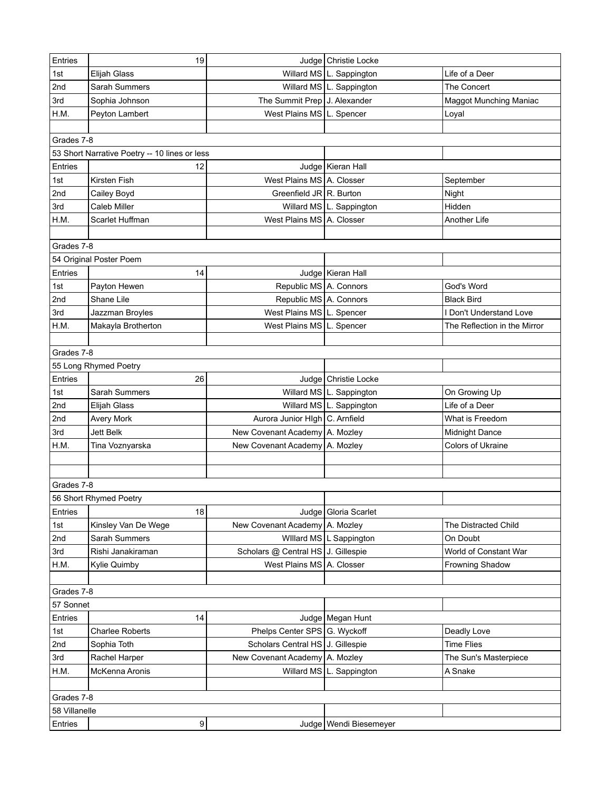| Entries       | 19                                            |                                                                   | Judge   Christie Locke     |                                     |
|---------------|-----------------------------------------------|-------------------------------------------------------------------|----------------------------|-------------------------------------|
| 1st           | Elijah Glass                                  |                                                                   | Willard MS   L. Sappington | Life of a Deer                      |
| 2nd           | Sarah Summers                                 |                                                                   | Willard MS   L. Sappington | The Concert                         |
| 3rd           | Sophia Johnson                                | The Summit Prep J. Alexander                                      |                            | <b>Maggot Munching Maniac</b>       |
| H.M.          | Peyton Lambert                                | West Plains MS   L. Spencer                                       |                            | Loyal                               |
|               |                                               |                                                                   |                            |                                     |
| Grades 7-8    |                                               |                                                                   |                            |                                     |
|               | 53 Short Narrative Poetry -- 10 lines or less |                                                                   |                            |                                     |
| Entries       | 12                                            |                                                                   | Judge Kieran Hall          |                                     |
| 1st           | Kirsten Fish                                  | West Plains MS A. Closser                                         |                            | September                           |
| 2nd           | Cailey Boyd                                   | Greenfield JR R. Burton                                           |                            | Night                               |
| 3rd           | Caleb Miller                                  |                                                                   | Willard MS   L. Sappington | Hidden                              |
| H.M.          | Scarlet Huffman                               | West Plains MS A. Closser                                         |                            | Another Life                        |
|               |                                               |                                                                   |                            |                                     |
| Grades 7-8    |                                               |                                                                   |                            |                                     |
|               | 54 Original Poster Poem                       |                                                                   |                            |                                     |
| Entries       | 14                                            |                                                                   | Judge   Kieran Hall        |                                     |
| 1st           | Payton Hewen                                  | Republic MS A. Connors                                            |                            | God's Word                          |
| 2nd           | Shane Lile                                    | Republic MS A. Connors                                            |                            | <b>Black Bird</b>                   |
| 3rd           | Jazzman Broyles                               | West Plains MS L. Spencer                                         |                            | I Don't Understand Love             |
| H.M.          | Makayla Brotherton                            | West Plains MS L. Spencer                                         |                            | The Reflection in the Mirror        |
|               |                                               |                                                                   |                            |                                     |
| Grades 7-8    |                                               |                                                                   |                            |                                     |
|               | 55 Long Rhymed Poetry                         |                                                                   |                            |                                     |
| Entries       | 26                                            | Judge                                                             | Christie Locke             |                                     |
| 1st           | Sarah Summers                                 |                                                                   | Willard MS   L. Sappington | On Growing Up                       |
| 2nd           |                                               |                                                                   | Willard MS   L. Sappington | Life of a Deer                      |
| 2nd           | Elijah Glass<br><b>Avery Mork</b>             | Aurora Junior HIgh C. Arnfield                                    |                            | What is Freedom                     |
| 3rd           | <b>Jett Belk</b>                              | New Covenant Academy   A. Mozley                                  |                            |                                     |
| H.M.          | Tina Voznyarska                               | New Covenant Academy   A. Mozley                                  |                            | Midnight Dance<br>Colors of Ukraine |
|               |                                               |                                                                   |                            |                                     |
|               |                                               |                                                                   |                            |                                     |
| Grades 7-8    |                                               |                                                                   |                            |                                     |
|               |                                               |                                                                   |                            |                                     |
|               | 56 Short Rhymed Poetry<br>18                  |                                                                   |                            |                                     |
| Entries       |                                               |                                                                   | Judge   Gloria Scarlet     |                                     |
| 1st           | Kinsley Van De Wege                           | New Covenant Academy   A. Mozley                                  |                            | The Distracted Child                |
| 2nd           | Sarah Summers                                 |                                                                   | Willard MS   L Sappington  | On Doubt                            |
| 3rd           | Rishi Janakiraman                             | Scholars @ Central HS   J. Gillespie<br>West Plains MS A. Closser |                            | World of Constant War               |
| H.M.          | Kylie Quimby                                  |                                                                   |                            | Frowning Shadow                     |
|               |                                               |                                                                   |                            |                                     |
| Grades 7-8    |                                               |                                                                   |                            |                                     |
| 57 Sonnet     |                                               |                                                                   |                            |                                     |
| Entries       | 14                                            |                                                                   | Judge   Megan Hunt         |                                     |
| 1st           | <b>Charlee Roberts</b>                        | Phelps Center SPS G. Wyckoff                                      |                            | Deadly Love                         |
| 2nd           | Sophia Toth                                   | Scholars Central HS J. Gillespie                                  |                            | <b>Time Flies</b>                   |
| 3rd           | Rachel Harper                                 | New Covenant Academy   A. Mozley                                  |                            | The Sun's Masterpiece               |
| H.M.          | McKenna Aronis                                | Willard MS                                                        | L. Sappington              | A Snake                             |
|               |                                               |                                                                   |                            |                                     |
| Grades 7-8    |                                               |                                                                   |                            |                                     |
| 58 Villanelle |                                               |                                                                   |                            |                                     |
| Entries       | 9                                             |                                                                   | Judge   Wendi Biesemeyer   |                                     |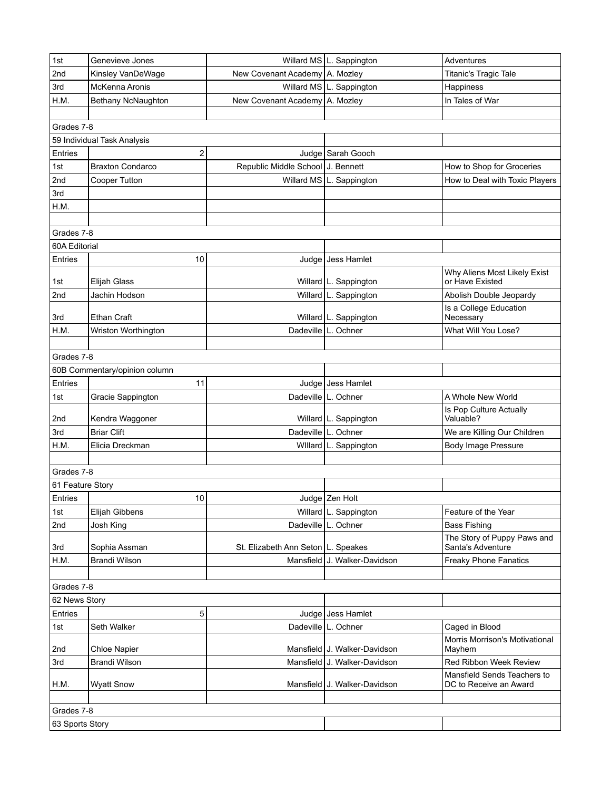| 1st              | Genevieve Jones               |                                    | Willard MS   L. Sappington     | Adventures                                       |
|------------------|-------------------------------|------------------------------------|--------------------------------|--------------------------------------------------|
| 2nd              | Kinsley VanDeWage             | New Covenant Academy A. Mozley     |                                | Titanic's Tragic Tale                            |
| 3rd              | McKenna Aronis                |                                    | Willard MS   L. Sappington     | Happiness                                        |
| H.M.             | Bethany NcNaughton            | New Covenant Academy   A. Mozley   |                                | In Tales of War                                  |
|                  |                               |                                    |                                |                                                  |
| Grades 7-8       |                               |                                    |                                |                                                  |
|                  | 59 Individual Task Analysis   |                                    |                                |                                                  |
| Entries          | 2                             |                                    | Judge   Sarah Gooch            |                                                  |
| 1st              | <b>Braxton Condarco</b>       | Republic Middle School J. Bennett  |                                | How to Shop for Groceries                        |
| 2nd              | Cooper Tutton                 |                                    | Willard MS   L. Sappington     | How to Deal with Toxic Players                   |
| 3rd              |                               |                                    |                                |                                                  |
| H.M.             |                               |                                    |                                |                                                  |
|                  |                               |                                    |                                |                                                  |
| Grades 7-8       |                               |                                    |                                |                                                  |
| 60A Editorial    |                               |                                    |                                |                                                  |
| Entries          | 10                            |                                    | Judge Jess Hamlet              |                                                  |
| 1st              | Elijah Glass                  |                                    | Willard   L. Sappington        | Why Aliens Most Likely Exist<br>or Have Existed  |
| 2nd              | Jachin Hodson                 |                                    | Willard   L. Sappington        | Abolish Double Jeopardy                          |
|                  |                               |                                    |                                | Is a College Education                           |
| 3rd              | <b>Ethan Craft</b>            |                                    | Willard   L. Sappington        | Necessary                                        |
| H.M.             | Wriston Worthington           | Dadeville                          | L. Ochner                      | What Will You Lose?                              |
|                  |                               |                                    |                                |                                                  |
| Grades 7-8       |                               |                                    |                                |                                                  |
|                  | 60B Commentary/opinion column |                                    |                                |                                                  |
| Entries          | 11                            |                                    | Judge Jess Hamlet              |                                                  |
| 1st              | Gracie Sappington             |                                    | Dadeville   L. Ochner          | A Whole New World                                |
| 2nd              | Kendra Waggoner               |                                    | Willard   L. Sappington        | Is Pop Culture Actually<br>Valuable?             |
| 3rd              | <b>Briar Clift</b>            |                                    | Dadeville L. Ochner            | We are Killing Our Children                      |
| H.M.             | Elicia Dreckman               |                                    | Willard   L. Sappington        | <b>Body Image Pressure</b>                       |
|                  |                               |                                    |                                |                                                  |
| Grades 7-8       |                               |                                    |                                |                                                  |
| 61 Feature Story |                               |                                    |                                |                                                  |
| Entries          | 10                            |                                    | Judge Zen Holt                 |                                                  |
| 1st              | Elijah Gibbens                |                                    | Willard   L. Sappington        | Feature of the Year                              |
| 2nd              | Josh King                     |                                    | Dadeville   L. Ochner          | <b>Bass Fishing</b>                              |
| 3rd              | Sophia Assman                 | St. Elizabeth Ann Seton L. Speakes |                                | The Story of Puppy Paws and<br>Santa's Adventure |
| H.M.             | <b>Brandi Wilson</b>          |                                    | Mansfield J. Walker-Davidson   | <b>Freaky Phone Fanatics</b>                     |
|                  |                               |                                    |                                |                                                  |
| Grades 7-8       |                               |                                    |                                |                                                  |
| 62 News Story    |                               |                                    |                                |                                                  |
| Entries          | 5                             |                                    | Judge Jess Hamlet              |                                                  |
| 1st              | Seth Walker                   |                                    | Dadeville   L. Ochner          | Caged in Blood                                   |
| 2nd              | Chloe Napier                  |                                    | Mansfield   J. Walker-Davidson | Morris Morrison's Motivational<br>Mayhem         |
| 3rd              | <b>Brandi Wilson</b>          |                                    | Mansfield J. Walker-Davidson   | Red Ribbon Week Review                           |
|                  |                               |                                    |                                | Mansfield Sends Teachers to                      |
| H.M.             | <b>Wyatt Snow</b>             |                                    | Mansfield J. Walker-Davidson   | DC to Receive an Award                           |
|                  |                               |                                    |                                |                                                  |
| Grades 7-8       |                               |                                    |                                |                                                  |
| 63 Sports Story  |                               |                                    |                                |                                                  |
|                  |                               |                                    |                                |                                                  |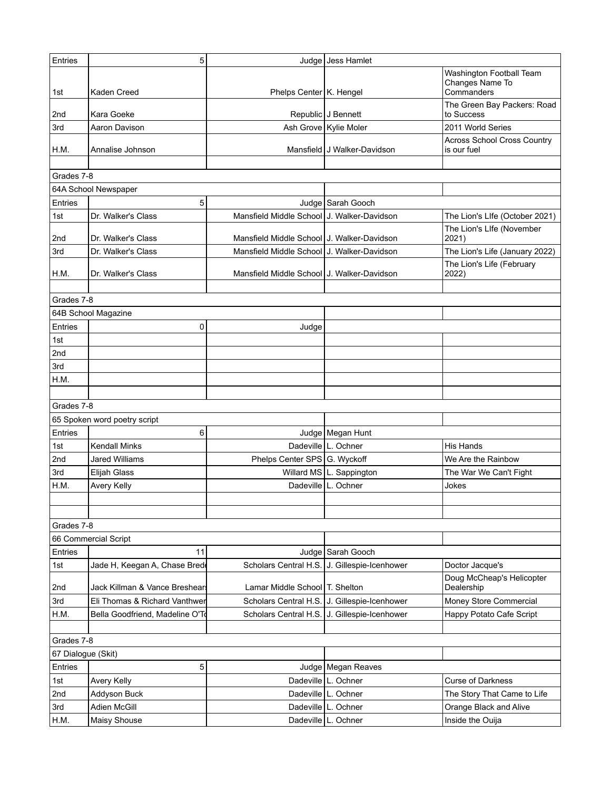| Entries            | 5                               |                                            | Judge Jess Hamlet                            |                                                           |
|--------------------|---------------------------------|--------------------------------------------|----------------------------------------------|-----------------------------------------------------------|
| 1st                | Kaden Creed                     | Phelps Center   K. Hengel                  |                                              | Washington Football Team<br>Changes Name To<br>Commanders |
| 2nd                | Kara Goeke                      |                                            | Republic J Bennett                           | The Green Bay Packers: Road<br>to Success                 |
| 3rd                | Aaron Davison                   |                                            | Ash Grove   Kylie Moler                      | 2011 World Series                                         |
| H.M.               | Annalise Johnson                |                                            | Mansfield J Walker-Davidson                  | <b>Across School Cross Country</b><br>is our fuel         |
|                    |                                 |                                            |                                              |                                                           |
| Grades 7-8         |                                 |                                            |                                              |                                                           |
|                    | 64A School Newspaper            |                                            |                                              |                                                           |
| Entries            | 5                               |                                            | Judge Sarah Gooch                            |                                                           |
| 1st                | Dr. Walker's Class              | Mansfield Middle School J. Walker-Davidson |                                              | The Lion's Llfe (October 2021)                            |
| 2nd                | Dr. Walker's Class              | Mansfield Middle School J. Walker-Davidson |                                              | The Lion's Llfe (November<br>2021)                        |
| 3rd                | Dr. Walker's Class              | Mansfield Middle School J. Walker-Davidson |                                              | The Lion's Life (January 2022)                            |
| H.M.               | Dr. Walker's Class              | Mansfield Middle School J. Walker-Davidson |                                              | The Lion's Life (February<br>2022)                        |
|                    |                                 |                                            |                                              |                                                           |
| Grades 7-8         |                                 |                                            |                                              |                                                           |
|                    | 64B School Magazine             |                                            |                                              |                                                           |
| Entries            | 0                               | Judge                                      |                                              |                                                           |
| 1st                |                                 |                                            |                                              |                                                           |
| 2nd                |                                 |                                            |                                              |                                                           |
| 3rd                |                                 |                                            |                                              |                                                           |
| H.M.               |                                 |                                            |                                              |                                                           |
| Grades 7-8         |                                 |                                            |                                              |                                                           |
|                    | 65 Spoken word poetry script    |                                            |                                              |                                                           |
| Entries            | 6                               |                                            | Judge   Megan Hunt                           |                                                           |
| 1st                | <b>Kendall Minks</b>            |                                            | Dadeville   L. Ochner                        | His Hands                                                 |
| 2nd                | <b>Jared Williams</b>           | Phelps Center SPS G. Wyckoff               |                                              | We Are the Rainbow                                        |
| 3rd                | <b>Elijah Glass</b>             |                                            | Willard MS   L. Sappington                   | The War We Can't Fight                                    |
| H.M.               | Avery Kelly                     | Dadeville                                  | L. Ochner                                    | Jokes                                                     |
|                    |                                 |                                            |                                              |                                                           |
|                    |                                 |                                            |                                              |                                                           |
| Grades 7-8         |                                 |                                            |                                              |                                                           |
|                    | 66 Commercial Script            |                                            |                                              |                                                           |
| Entries            | 11                              |                                            | Judge   Sarah Gooch                          |                                                           |
| 1st                | Jade H, Keegan A, Chase Brede   | Scholars Central H.S.                      | J. Gillespie-Icenhower                       | Doctor Jacque's                                           |
| 2nd                | Jack Killman & Vance Breshears  | Lamar Middle School   T. Shelton           |                                              | Doug McCheap's Helicopter<br>Dealership                   |
| 3rd                | Eli Thomas & Richard Vanthwer   | Scholars Central H.S.                      | J. Gillespie-Icenhower                       | Money Store Commercial                                    |
| H.M.               | Bella Goodfriend, Madeline O'To |                                            | Scholars Central H.S. J. Gillespie-Icenhower | Happy Potato Cafe Script                                  |
|                    |                                 |                                            |                                              |                                                           |
| Grades 7-8         |                                 |                                            |                                              |                                                           |
| 67 Dialogue (Skit) |                                 |                                            |                                              |                                                           |
| Entries            | 5                               |                                            | Judge   Megan Reaves                         |                                                           |
| 1st                | Avery Kelly                     |                                            | Dadeville   L. Ochner                        | <b>Curse of Darkness</b>                                  |
| 2nd                | Addyson Buck                    |                                            | Dadeville   L. Ochner                        | The Story That Came to Life                               |
| 3rd                | <b>Adien McGill</b>             |                                            | Dadeville   L. Ochner                        | Orange Black and Alive                                    |
| H.M.               | Maisy Shouse                    |                                            | Dadeville   L. Ochner                        | Inside the Ouija                                          |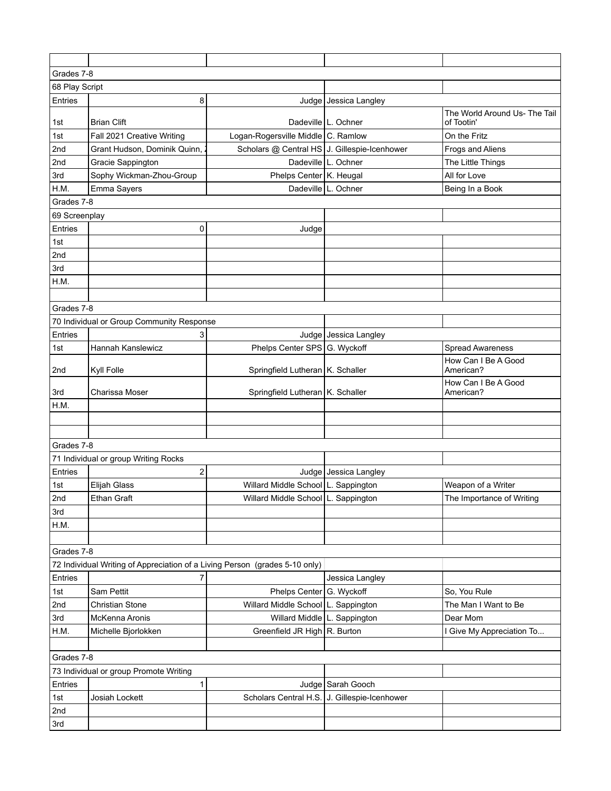| Grades 7-8                             |                                                                             |                                              |                         |                                             |
|----------------------------------------|-----------------------------------------------------------------------------|----------------------------------------------|-------------------------|---------------------------------------------|
| 68 Play Script                         |                                                                             |                                              |                         |                                             |
| Entries                                | 8                                                                           | Judge                                        | Jessica Langley         |                                             |
| 1st                                    | <b>Brian Clift</b>                                                          |                                              | Dadeville   L. Ochner   | The World Around Us- The Tail<br>of Tootin' |
| 1st                                    | Fall 2021 Creative Writing                                                  | Logan-Rogersville Middle C. Ramlow           |                         | On the Fritz                                |
| 2nd                                    | Grant Hudson, Dominik Quinn,                                                | Scholars @ Central HS J. Gillespie-Icenhower |                         | Frogs and Aliens                            |
| 2nd                                    | Gracie Sappington                                                           |                                              | Dadeville   L. Ochner   | The Little Things                           |
| 3rd                                    | Sophy Wickman-Zhou-Group                                                    | Phelps Center   K. Heugal                    |                         | All for Love                                |
| H.M.                                   | Emma Sayers                                                                 |                                              | Dadeville L. Ochner     | Being In a Book                             |
| Grades 7-8                             |                                                                             |                                              |                         |                                             |
| 69 Screenplay                          |                                                                             |                                              |                         |                                             |
| Entries                                | 0                                                                           | Judge                                        |                         |                                             |
| 1st                                    |                                                                             |                                              |                         |                                             |
| 2nd                                    |                                                                             |                                              |                         |                                             |
| 3rd                                    |                                                                             |                                              |                         |                                             |
| H.M.                                   |                                                                             |                                              |                         |                                             |
|                                        |                                                                             |                                              |                         |                                             |
| Grades 7-8                             |                                                                             |                                              |                         |                                             |
|                                        | 70 Individual or Group Community Response                                   |                                              |                         |                                             |
| Entries                                | 3                                                                           |                                              | Judge   Jessica Langley |                                             |
| 1st                                    | Hannah Kanslewicz                                                           | Phelps Center SPS G. Wyckoff                 |                         | <b>Spread Awareness</b>                     |
|                                        |                                                                             |                                              |                         | How Can I Be A Good                         |
| 2nd                                    | Kyll Folle                                                                  | Springfield Lutheran   K. Schaller           |                         | American?                                   |
| 3rd                                    | Charissa Moser                                                              | Springfield Lutheran   K. Schaller           |                         | How Can I Be A Good<br>American?            |
| H.M.                                   |                                                                             |                                              |                         |                                             |
|                                        |                                                                             |                                              |                         |                                             |
|                                        |                                                                             |                                              |                         |                                             |
| Grades 7-8                             |                                                                             |                                              |                         |                                             |
|                                        | 71 Individual or group Writing Rocks                                        |                                              |                         |                                             |
| Entries                                | $\overline{c}$                                                              |                                              | Judge   Jessica Langley |                                             |
| 1st                                    | Elijah Glass                                                                | Willard Middle School   L. Sappington        |                         | Weapon of a Writer                          |
| 2nd                                    | Ethan Graft                                                                 | Willard Middle School L. Sappington          |                         | The Importance of Writing                   |
| 3rd                                    |                                                                             |                                              |                         |                                             |
| H.M.                                   |                                                                             |                                              |                         |                                             |
|                                        |                                                                             |                                              |                         |                                             |
| Grades 7-8                             |                                                                             |                                              |                         |                                             |
|                                        | 72 Individual Writing of Appreciation of a Living Person (grades 5-10 only) |                                              |                         |                                             |
| Entries                                | $\overline{7}$                                                              |                                              | Jessica Langley         |                                             |
| 1st                                    | Sam Pettit                                                                  | Phelps Center G. Wyckoff                     |                         | So, You Rule                                |
| 2nd                                    | Christian Stone                                                             | Willard Middle School L. Sappington          |                         | The Man I Want to Be                        |
| 3rd                                    | McKenna Aronis                                                              | Willard Middle L. Sappington                 |                         | Dear Mom                                    |
| H.M.                                   | Michelle Bjorlokken                                                         | Greenfield JR High R. Burton                 |                         | I Give My Appreciation To                   |
|                                        |                                                                             |                                              |                         |                                             |
| Grades 7-8                             |                                                                             |                                              |                         |                                             |
| 73 Individual or group Promote Writing |                                                                             |                                              |                         |                                             |
| Entries                                | 1                                                                           |                                              | Judge Sarah Gooch       |                                             |
| 1st                                    | Josiah Lockett                                                              | Scholars Central H.S.                        | J. Gillespie-Icenhower  |                                             |
| 2nd                                    |                                                                             |                                              |                         |                                             |
| 3rd                                    |                                                                             |                                              |                         |                                             |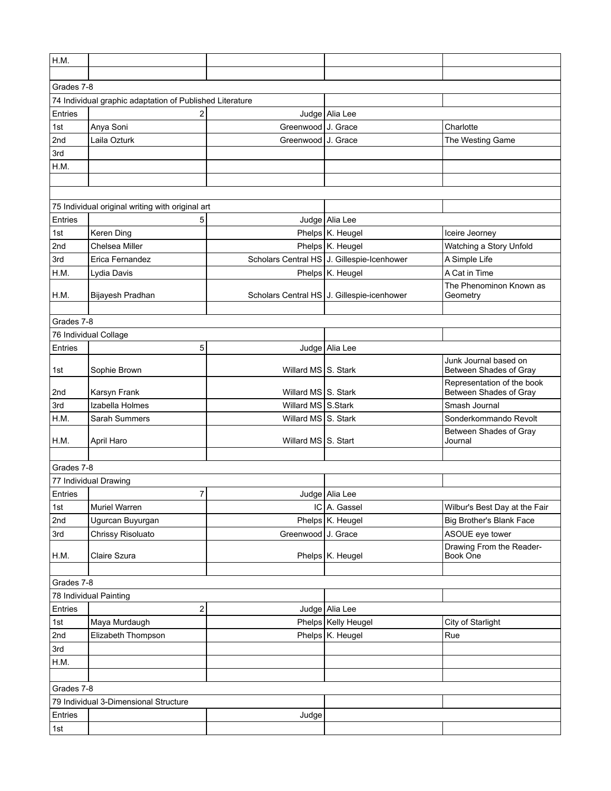| H.M.                                  |                                                          |                     |                                            |                                                      |  |
|---------------------------------------|----------------------------------------------------------|---------------------|--------------------------------------------|------------------------------------------------------|--|
|                                       |                                                          |                     |                                            |                                                      |  |
| Grades 7-8                            |                                                          |                     |                                            |                                                      |  |
|                                       | 74 Individual graphic adaptation of Published Literature |                     |                                            |                                                      |  |
| Entries                               | 2                                                        |                     | Judge Alia Lee                             |                                                      |  |
| 1st                                   | Anya Soni                                                | Greenwood J. Grace  |                                            | Charlotte                                            |  |
| 2nd                                   | Laila Ozturk                                             | Greenwood J. Grace  |                                            | The Westing Game                                     |  |
| 3rd                                   |                                                          |                     |                                            |                                                      |  |
| H.M.                                  |                                                          |                     |                                            |                                                      |  |
|                                       |                                                          |                     |                                            |                                                      |  |
|                                       |                                                          |                     |                                            |                                                      |  |
|                                       | 75 Individual original writing with original art         |                     |                                            |                                                      |  |
| Entries                               | 5                                                        |                     | Judge   Alia Lee                           |                                                      |  |
| 1st                                   | Keren Ding                                               |                     | Phelps K. Heugel                           | Iceire Jeorney                                       |  |
| 2nd                                   | Chelsea Miller                                           |                     | Phelps K. Heugel                           | Watching a Story Unfold                              |  |
| 3rd                                   | Erica Fernandez                                          |                     | Scholars Central HS J. Gillespie-Icenhower | A Simple Life                                        |  |
| H.M.                                  | Lydia Davis                                              |                     | Phelps K. Heugel                           | A Cat in Time                                        |  |
|                                       |                                                          |                     |                                            | The Phenominon Known as                              |  |
| H.M.                                  | Bijayesh Pradhan                                         |                     | Scholars Central HS J. Gillespie-icenhower | Geometry                                             |  |
|                                       |                                                          |                     |                                            |                                                      |  |
| Grades 7-8                            |                                                          |                     |                                            |                                                      |  |
|                                       | 76 Individual Collage                                    |                     |                                            |                                                      |  |
| Entries                               | 5                                                        |                     | Judge   Alia Lee                           |                                                      |  |
|                                       |                                                          |                     |                                            | Junk Journal based on                                |  |
| 1st                                   | Sophie Brown                                             | Willard MS Stark    |                                            | Between Shades of Gray                               |  |
| 2nd                                   | Karsyn Frank                                             | Willard MS S. Stark |                                            | Representation of the book<br>Between Shades of Gray |  |
| 3rd                                   | Izabella Holmes                                          | Willard MS S.Stark  |                                            | Smash Journal                                        |  |
| H.M.                                  | Sarah Summers                                            | Willard MS S. Stark |                                            | Sonderkommando Revolt                                |  |
|                                       |                                                          |                     |                                            | Between Shades of Gray                               |  |
| H.M.                                  | April Haro                                               | Willard MS S. Start |                                            | Journal                                              |  |
|                                       |                                                          |                     |                                            |                                                      |  |
| Grades 7-8                            |                                                          |                     |                                            |                                                      |  |
|                                       | 77 Individual Drawing                                    |                     |                                            |                                                      |  |
| Entries                               | 7                                                        |                     | Judge   Alia Lee                           |                                                      |  |
| 1st                                   | Muriel Warren                                            |                     | $IC$ A. Gassel                             | Wilbur's Best Day at the Fair                        |  |
| 2nd                                   | Ugurcan Buyurgan                                         |                     | Phelps K. Heugel                           | Big Brother's Blank Face                             |  |
| 3rd                                   | Chrissy Risoluato                                        | Greenwood J. Grace  |                                            | ASOUE eye tower                                      |  |
| H.M.                                  | Claire Szura                                             |                     | Phelps K. Heugel                           | Drawing From the Reader-<br>Book One                 |  |
|                                       |                                                          |                     |                                            |                                                      |  |
| Grades 7-8                            |                                                          |                     |                                            |                                                      |  |
| 78 Individual Painting                |                                                          |                     |                                            |                                                      |  |
| Entries                               | $\overline{\mathbf{c}}$                                  |                     | Judge Alia Lee                             |                                                      |  |
| 1st                                   | Maya Murdaugh                                            |                     | Phelps   Kelly Heugel                      | City of Starlight                                    |  |
| 2nd                                   | Elizabeth Thompson                                       |                     | Phelps K. Heugel                           | Rue                                                  |  |
| 3rd                                   |                                                          |                     |                                            |                                                      |  |
| H.M.                                  |                                                          |                     |                                            |                                                      |  |
|                                       |                                                          |                     |                                            |                                                      |  |
| Grades 7-8                            |                                                          |                     |                                            |                                                      |  |
| 79 Individual 3-Dimensional Structure |                                                          |                     |                                            |                                                      |  |
| Entries                               |                                                          | Judge               |                                            |                                                      |  |
| 1st                                   |                                                          |                     |                                            |                                                      |  |
|                                       |                                                          |                     |                                            |                                                      |  |